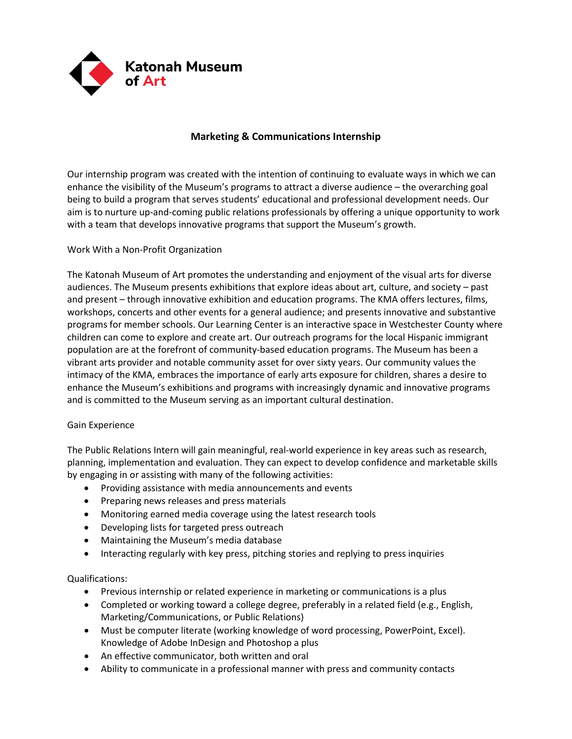

## **Marketing & Communications Internship**

Our internship program was created with the intention of continuing to evaluate ways in which we can enhance the visibility of the Museum's programs to attract a diverse audience – the overarching goal being to build a program that serves students' educational and professional development needs. Our aim is to nurture up‐and‐coming public relations professionals by offering a unique opportunity to work with a team that develops innovative programs that support the Museum's growth.

## Work With a Non-Profit Organization

The Katonah Museum of Art promotes the understanding and enjoyment of the visual arts for diverse audiences. The Museum presents exhibitions that explore ideas about art, culture, and society – past and present – through innovative exhibition and education programs. The KMA offers lectures, films, workshops, concerts and other events for a general audience; and presents innovative and substantive programs for member schools. Our Learning Center is an interactive space in Westchester County where children can come to explore and create art. Our outreach programs for the local Hispanic immigrant population are at the forefront of community-based education programs. The Museum has been a vibrant arts provider and notable community asset for over sixty years. Our community values the intimacy of the KMA, embraces the importance of early arts exposure for children, shares a desire to enhance the Museum's exhibitions and programs with increasingly dynamic and innovative programs and is committed to the Museum serving as an important cultural destination.

## Gain Experience

The Public Relations Intern will gain meaningful, real‐world experience in key areas such as research, planning, implementation and evaluation. They can expect to develop confidence and marketable skills by engaging in or assisting with many of the following activities:

- Providing assistance with media announcements and events
- Preparing news releases and press materials
- Monitoring earned media coverage using the latest research tools
- Developing lists for targeted press outreach
- Maintaining the Museum's media database
- Interacting regularly with key press, pitching stories and replying to press inquiries

## Qualifications:

- Previous internship or related experience in marketing or communications is a plus
- Completed or working toward a college degree, preferably in a related field (e.g., English, Marketing/Communications, or Public Relations)
- Must be computer literate (working knowledge of word processing, PowerPoint, Excel). Knowledge of Adobe InDesign and Photoshop a plus
- An effective communicator, both written and oral
- Ability to communicate in a professional manner with press and community contacts